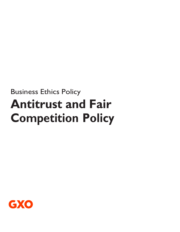# Business Ethics Policy **Antitrust and Fair Competition Policy**

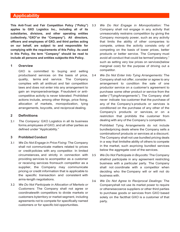# **Applicability**

**This Anti-Trust and Fair Competition Policy ("Policy") applies to GXO Logistics Inc., including all of its subsidiaries, divisions, and other operating entities (collectively, "GXO"or the "Company"). All directors, officers and employees of GXO, and third parties acting on our behalf, are subject to and responsible for complying with the requirements of this Policy. As used in this Policy, the term "Company" should be read to include all persons and entities subjectto this Policy.**

#### **1 Overview**

GXO is committed to buying and selling productsand services on the basis of price, quality, terms and service. The Company complies with all antitrust and fair competition laws and does not enter into any arrangement to gain an improperadvantage. Fraudulent or anticompetitive activity is never tolerated. Prohibited actions include, among other things, price fixing, allocation of markets, monopolization, tying arrangements, boycotts, and reciprocal dealing.

#### **2 Definitions**

2.1 *The Company:* GXO Logistics in all its business forms,employees of GXO, and all other parties as defined under "Applicability."

#### **3 Prohibited Conduct**

- 3.1 *We Do Not Engage in Price Fixing:* The Company shall not communicate matters related to prices or credit policies with any competitor. In limited circumstances, and strictly in connection with providing services to acompetitor as a customer or receiving services fromsuch competitor as a supplier, the Company may communicate pricing or credit information that is applicable to the specific transaction and consistent with arms-length negotiations.
- 3.2 *We Do Not Participate in Allocation of Markets or Customers:* The Company shall not agree or coordinatewith competitors to divide markets or customers byterritory or market segment, including agreements not to compete for specifically named customers or for specific bid opportunities.
- 3.3 *We Do Not Engage in Monopolization:* The Company shall not engage in any activity that unreasonably restrains competition by giving the Company monopoly power, such as any activity that limits the ability of other companies to compete, unless the activity consists only of competing on the basis of lower prices, better products or better service. The Company must avoid all conduct that could be termed"predatory," such as setting very low prices on services(below marginal cost) for the purpose of driving out a competitor.
- 3.4 *We Do Not Enter Into Tying Arrangements:* The Company shall not offer, consider or agree to any arrangement to condition the sale of one productor service on a customer's agreement to purchase some other product or service from the seller ("TyingArrangements"). The Company shall never indicate toa customer that the purchase of any of the Company's products or services is conditioned on the purchase of any other of the Company's products or services, or on a restriction that prohibits the customer from dealing with any of the Company's competitors.

Prohibited Tying Arrangements do not include bundledpricing deals where the Company sells a combinationof products or services at a discount. The Company shall not use bundled pricing deals in a way that limitsthe ability of others to compete in the market, such aspricing bundled services below the aggregate cost of the services.

- 3.5 *We Do Not Participate in Boycotts:* The Company shallnot participate in any agreement restricting business with a particular party. The Company shall not coordinate with a competitor when deciding who the Company will or will not do business with.
- 3.6 *We Do Not Agree to Reciprocal Dealings:* The Companyshall not use its market power to require or otherwisecoerce suppliers or other third parties to purchase goods or services from GXO based solely on the factthat GXO is a customer of that party.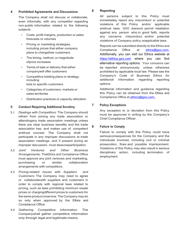#### **4 Prohibited Agreements and Discussions**

The Company shall not discuss or collaborate, even informally, with any competitor regarding non-public information related to the following subjects:

- Costs, profit margins, production or sales forecasts or volumes
- Pricing or marketing strategies, including prices that either company plans to chargetheir customers
- The timing, method, or magnitude ofprice increases
- Terms of sale or delivery that either companywill offer customers
- Competitive bidding plans or strategy, including bids to specific customers
- Categories of customers, markets or sales territories
- Distribution practices or capacity utilization

#### **5 Conduct Requiring Additional Scrutiny**

- 5.1 *Dealings with Competitors:* The Company should refrain from joining any trade association or attendingany trade association meetings unless there are clear business benefits and the trade association has, and makes use of, competent antitrust counsel. The Company shall not participate in any improper discussions at trade association meetings, and if present during an improper discussion, must disavowparticipation.
- 5.2 *Joint Ventures and Other Business Arrangements:* TheEthics and Compliance Office must approve any joint ventures and marketing, purchasing or similar collaboration arrangements with competitors.
- 5.3 *Pricing-related Issues with Suppliers and Customers:* The Company may need to agree or collaboratewith suppliers and customers in order to comply with regional laws related to pricing, such as laws prohibiting minimum resale prices or chargingdifferent prices to customers for the same product orservice.The Company may do so only when approved by the Ethics and Compliance Office.
- 5.4 *Gathering Competitive Information:* The Companyshall gather competitive information only through legal and legitimate means.

# **6 Reporting**

All persons subject to this Policy must immediately report any misconduct or potential violations of this Policy and/or applicable antitrust laws. GXO doesnot permit retaliation against any person who,in good faith, reports any concerns, misconduct, and/or potential violations of Company policy orapplicable laws.

Reports can be submitted directly to the Ethics and Compliance Office at [ethics@gxo.com.](mailto:ethics@gxo.com.) Additionally, you can visit our Ethics website at [https://ethics.gxo.com](https://ethics.gxo.com/) where you can find alternative reporting options. Your concerns can be reported anonymously, unless otherwise prohibited by applicable local law. Please see the Company's Code of Business Ethics for additional information regarding reporting options.

Additional information and guidance regarding this Policy can be obtained from the Ethics and Compliance Office at [ethics@gxo.com.](mailto:%20ethics@gxo.com.)

# **7 Policy Exceptions**

Any exception to or deviation from this Policy must be approved in writing by the Company's Chief Compliance Officer.

# **8 Failure to Comply**

Failure to comply with this Policy could have seriousconsequences for the Company and the individuals involved, including civil or criminal prosecution, fines and possible imprisonment. Violations of this Policy may also result in serious disciplinary action, including termination of employment.